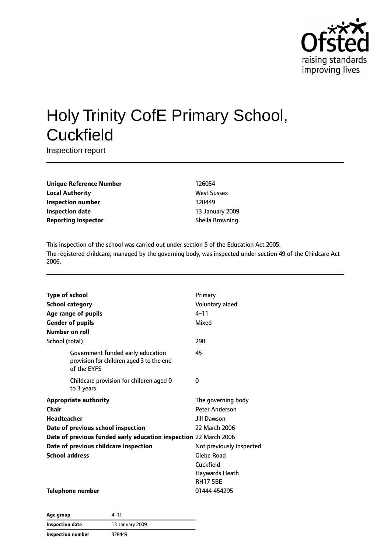

# Holy Trinity CofE Primary School, **Cuckfield**

Inspection report

| <b>Unique Reference Number</b> |
|--------------------------------|
| <b>Local Authority</b>         |
| <b>Inspection number</b>       |
| <b>Inspection date</b>         |
| <b>Reporting inspector</b>     |

**Unique Reference Number** 126054 **West Sussex Inspection number** 328449 **Inspection date** 13 January 2009 **Sheila Browning** 

This inspection of the school was carried out under section 5 of the Education Act 2005. The registered childcare, managed by the governing body, was inspected under section 49 of the Childcare Act 2006.

| <b>Type of school</b>                                                                        | Primary                  |
|----------------------------------------------------------------------------------------------|--------------------------|
| <b>School category</b>                                                                       | Voluntary aided          |
| Age range of pupils                                                                          | $4 - 11$                 |
| <b>Gender of pupils</b>                                                                      | Mixed                    |
| Number on roll                                                                               |                          |
| School (total)                                                                               | 298                      |
| Government funded early education<br>provision for children aged 3 to the end<br>of the EYFS | 45                       |
| Childcare provision for children aged 0<br>to 3 years                                        | 0                        |
| <b>Appropriate authority</b>                                                                 | The governing body       |
| Chair                                                                                        | Peter Anderson           |
| <b>Headteacher</b>                                                                           | Jill Dawson              |
| Date of previous school inspection                                                           | 22 March 2006            |
| Date of previous funded early education inspection 22 March 2006                             |                          |
| Date of previous childcare inspection                                                        | Not previously inspected |
| <b>School address</b>                                                                        | <b>Glebe Road</b>        |
|                                                                                              | Cuckfield                |
|                                                                                              | Haywards Heath           |
|                                                                                              | <b>RH175BE</b>           |
| <b>Telephone number</b>                                                                      | 01444 454295             |

| Age group                | 4–11            |
|--------------------------|-----------------|
| <b>Inspection date</b>   | 13 January 2009 |
| <b>Inspection number</b> | 328449          |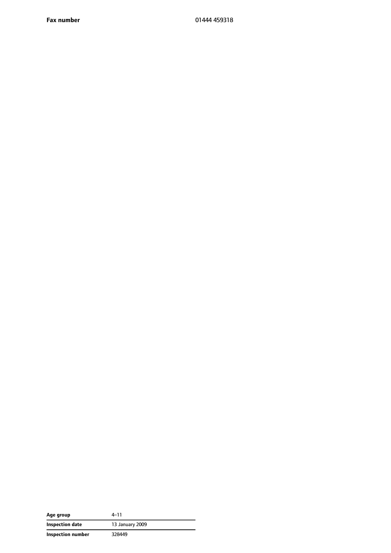**Fax number** 01444 459318

| Age group         | 4–11            |
|-------------------|-----------------|
| Inspection date   | 13 January 2009 |
| Inspection number | 328449          |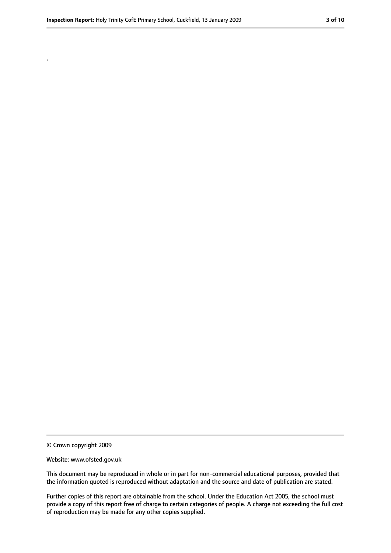.

<sup>©</sup> Crown copyright 2009

Website: www.ofsted.gov.uk

This document may be reproduced in whole or in part for non-commercial educational purposes, provided that the information quoted is reproduced without adaptation and the source and date of publication are stated.

Further copies of this report are obtainable from the school. Under the Education Act 2005, the school must provide a copy of this report free of charge to certain categories of people. A charge not exceeding the full cost of reproduction may be made for any other copies supplied.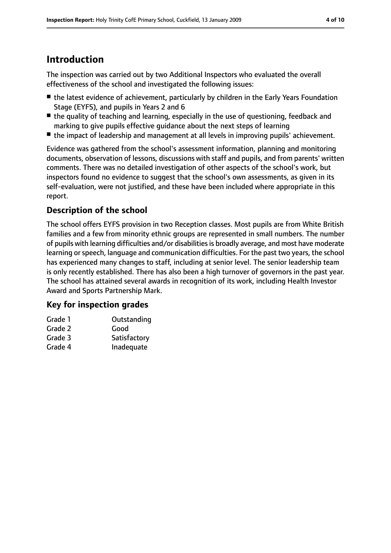## **Introduction**

The inspection was carried out by two Additional Inspectors who evaluated the overall effectiveness of the school and investigated the following issues:

- the latest evidence of achievement, particularly by children in the Early Years Foundation Stage (EYFS), and pupils in Years 2 and 6
- the quality of teaching and learning, especially in the use of questioning, feedback and marking to give pupils effective guidance about the next steps of learning
- the impact of leadership and management at all levels in improving pupils' achievement.

Evidence was gathered from the school's assessment information, planning and monitoring documents, observation of lessons, discussions with staff and pupils, and from parents' written comments. There was no detailed investigation of other aspects of the school's work, but inspectors found no evidence to suggest that the school's own assessments, as given in its self-evaluation, were not justified, and these have been included where appropriate in this report.

## **Description of the school**

The school offers EYFS provision in two Reception classes. Most pupils are from White British families and a few from minority ethnic groups are represented in small numbers. The number of pupils with learning difficulties and/or disabilities is broadly average, and most have moderate learning or speech, language and communication difficulties. For the past two years, the school has experienced many changes to staff, including at senior level. The senior leadership team is only recently established. There has also been a high turnover of governors in the past year. The school has attained several awards in recognition of its work, including Health Investor Award and Sports Partnership Mark.

## **Key for inspection grades**

| Grade 1 | Outstanding  |
|---------|--------------|
| Grade 2 | Good         |
| Grade 3 | Satisfactory |
| Grade 4 | Inadequate   |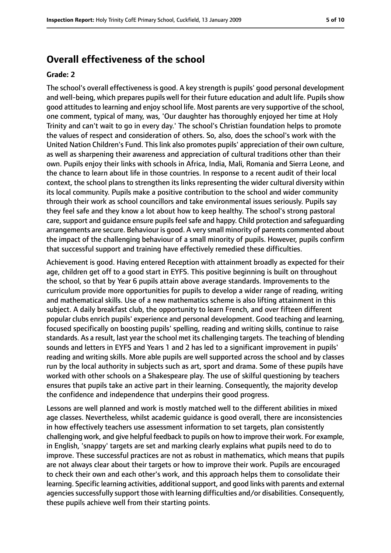## **Overall effectiveness of the school**

#### **Grade: 2**

The school's overall effectiveness is good. A key strength is pupils' good personal development and well-being, which prepares pupils well for their future education and adult life. Pupils show good attitudes to learning and enjoy school life. Most parents are very supportive of the school, one comment, typical of many, was, 'Our daughter has thoroughly enjoyed her time at Holy Trinity and can't wait to go in every day.' The school's Christian foundation helps to promote the values of respect and consideration of others. So, also, does the school's work with the United Nation Children's Fund. Thislink also promotes pupils' appreciation of their own culture, as well as sharpening their awareness and appreciation of cultural traditions other than their own. Pupils enjoy their links with schools in Africa, India, Mali, Romania and Sierra Leone, and the chance to learn about life in those countries. In response to a recent audit of their local context, the school plans to strengthen its links representing the wider cultural diversity within its local community. Pupils make a positive contribution to the school and wider community through their work as school councillors and take environmental issues seriously. Pupils say they feel safe and they know a lot about how to keep healthy. The school's strong pastoral care, support and quidance ensure pupils feel safe and happy. Child protection and safequarding arrangements are secure. Behaviour is good. A very small minority of parents commented about the impact of the challenging behaviour of a small minority of pupils. However, pupils confirm that successful support and training have effectively remedied these difficulties.

Achievement is good. Having entered Reception with attainment broadly as expected for their age, children get off to a good start in EYFS. This positive beginning is built on throughout the school, so that by Year 6 pupils attain above average standards. Improvements to the curriculum provide more opportunities for pupils to develop a wider range of reading, writing and mathematical skills. Use of a new mathematics scheme is also lifting attainment in this subject. A daily breakfast club, the opportunity to learn French, and over fifteen different popular clubs enrich pupils' experience and personal development. Good teaching and learning, focused specifically on boosting pupils' spelling, reading and writing skills, continue to raise standards. As a result, last year the school met its challenging targets. The teaching of blending sounds and letters in EYFS and Years 1 and 2 has led to a significant improvement in pupils' reading and writing skills. More able pupils are well supported across the school and by classes run by the local authority in subjects such as art, sport and drama. Some of these pupils have worked with other schools on a Shakespeare play. The use of skilful questioning by teachers ensures that pupils take an active part in their learning. Consequently, the majority develop the confidence and independence that underpins their good progress.

Lessons are well planned and work is mostly matched well to the different abilities in mixed age classes. Nevertheless, whilst academic guidance is good overall, there are inconsistencies in how effectively teachers use assessment information to set targets, plan consistently challenging work, and give helpful feedback to pupils on how to improve their work. For example, in English, 'snappy' targets are set and marking clearly explains what pupils need to do to improve. These successful practices are not as robust in mathematics, which means that pupils are not always clear about their targets or how to improve their work. Pupils are encouraged to check their own and each other's work, and this approach helps them to consolidate their learning. Specific learning activities, additional support, and good links with parents and external agencies successfully support those with learning difficulties and/or disabilities. Consequently, these pupils achieve well from their starting points.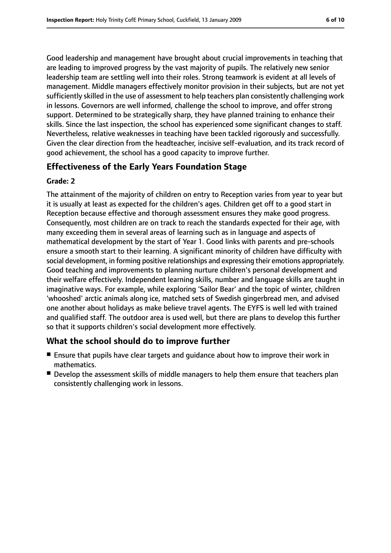Good leadership and management have brought about crucial improvements in teaching that are leading to improved progress by the vast majority of pupils. The relatively new senior leadership team are settling well into their roles. Strong teamwork is evident at all levels of management. Middle managers effectively monitor provision in their subjects, but are not yet sufficiently skilled in the use of assessment to help teachers plan consistently challenging work in lessons. Governors are well informed, challenge the school to improve, and offer strong support. Determined to be strategically sharp, they have planned training to enhance their skills. Since the last inspection, the school has experienced some significant changes to staff. Nevertheless, relative weaknesses in teaching have been tackled rigorously and successfully. Given the clear direction from the headteacher, incisive self-evaluation, and its track record of good achievement, the school has a good capacity to improve further.

## **Effectiveness of the Early Years Foundation Stage**

#### **Grade: 2**

The attainment of the majority of children on entry to Reception varies from year to year but it is usually at least as expected for the children's ages. Children get off to a good start in Reception because effective and thorough assessment ensures they make good progress. Consequently, most children are on track to reach the standards expected for their age, with many exceeding them in several areas of learning such as in language and aspects of mathematical development by the start of Year 1. Good links with parents and pre-schools ensure a smooth start to their learning. A significant minority of children have difficulty with social development, in forming positive relationships and expressing their emotions appropriately. Good teaching and improvements to planning nurture children's personal development and their welfare effectively. Independent learning skills, number and language skills are taught in imaginative ways. For example, while exploring 'Sailor Bear' and the topic of winter, children 'whooshed' arctic animals along ice, matched sets of Swedish gingerbread men, and advised one another about holidays as make believe travel agents. The EYFS is well led with trained and qualified staff. The outdoor area is used well, but there are plans to develop this further so that it supports children's social development more effectively.

## **What the school should do to improve further**

- Ensure that pupils have clear targets and quidance about how to improve their work in mathematics.
- Develop the assessment skills of middle managers to help them ensure that teachers plan consistently challenging work in lessons.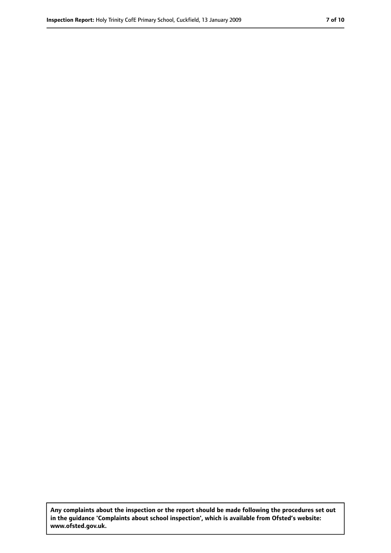**Any complaints about the inspection or the report should be made following the procedures set out in the guidance 'Complaints about school inspection', which is available from Ofsted's website: www.ofsted.gov.uk.**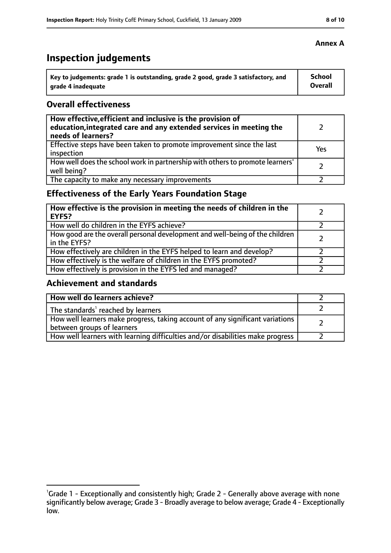## **Inspection judgements**

| Key to judgements: grade 1 is outstanding, grade 2 good, grade 3 satisfactory, and | <b>School</b>  |
|------------------------------------------------------------------------------------|----------------|
| arade 4 inadequate                                                                 | <b>Overall</b> |

## **Overall effectiveness**

| How effective, efficient and inclusive is the provision of<br>education, integrated care and any extended services in meeting the<br>needs of learners? |     |
|---------------------------------------------------------------------------------------------------------------------------------------------------------|-----|
| Effective steps have been taken to promote improvement since the last<br>inspection                                                                     | Yes |
| How well does the school work in partnership with others to promote learners'<br>well being?                                                            |     |
| The capacity to make any necessary improvements                                                                                                         |     |

## **Effectiveness of the Early Years Foundation Stage**

| How effective is the provision in meeting the needs of children in the<br><b>EYFS?</b>       |  |
|----------------------------------------------------------------------------------------------|--|
| How well do children in the EYFS achieve?                                                    |  |
| How good are the overall personal development and well-being of the children<br>in the EYFS? |  |
| How effectively are children in the EYFS helped to learn and develop?                        |  |
| How effectively is the welfare of children in the EYFS promoted?                             |  |
| How effectively is provision in the EYFS led and managed?                                    |  |

## **Achievement and standards**

| How well do learners achieve?                                                                               |  |
|-------------------------------------------------------------------------------------------------------------|--|
| The standards <sup>1</sup> reached by learners                                                              |  |
| How well learners make progress, taking account of any significant variations<br>between groups of learners |  |
| How well learners with learning difficulties and/or disabilities make progress                              |  |

## **Annex A**

<sup>&</sup>lt;sup>1</sup>Grade 1 - Exceptionally and consistently high; Grade 2 - Generally above average with none

significantly below average; Grade 3 - Broadly average to below average; Grade 4 - Exceptionally low.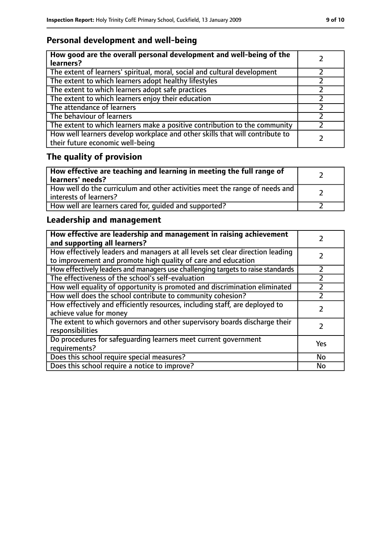## **Personal development and well-being**

| How good are the overall personal development and well-being of the<br>learners?                                 |  |
|------------------------------------------------------------------------------------------------------------------|--|
| The extent of learners' spiritual, moral, social and cultural development                                        |  |
| The extent to which learners adopt healthy lifestyles                                                            |  |
| The extent to which learners adopt safe practices                                                                |  |
| The extent to which learners enjoy their education                                                               |  |
| The attendance of learners                                                                                       |  |
| The behaviour of learners                                                                                        |  |
| The extent to which learners make a positive contribution to the community                                       |  |
| How well learners develop workplace and other skills that will contribute to<br>their future economic well-being |  |

## **The quality of provision**

| How effective are teaching and learning in meeting the full range of<br>learners' needs?              |  |
|-------------------------------------------------------------------------------------------------------|--|
| How well do the curriculum and other activities meet the range of needs and<br>interests of learners? |  |
| How well are learners cared for, quided and supported?                                                |  |

## **Leadership and management**

| How effective are leadership and management in raising achievement<br>and supporting all learners?                                              |           |
|-------------------------------------------------------------------------------------------------------------------------------------------------|-----------|
| How effectively leaders and managers at all levels set clear direction leading<br>to improvement and promote high quality of care and education |           |
| How effectively leaders and managers use challenging targets to raise standards                                                                 | フ         |
| The effectiveness of the school's self-evaluation                                                                                               |           |
| How well equality of opportunity is promoted and discrimination eliminated                                                                      |           |
| How well does the school contribute to community cohesion?                                                                                      |           |
| How effectively and efficiently resources, including staff, are deployed to<br>achieve value for money                                          |           |
| The extent to which governors and other supervisory boards discharge their<br>responsibilities                                                  |           |
| Do procedures for safequarding learners meet current government<br>requirements?                                                                | Yes       |
| Does this school require special measures?                                                                                                      | <b>No</b> |
| Does this school require a notice to improve?                                                                                                   | No        |